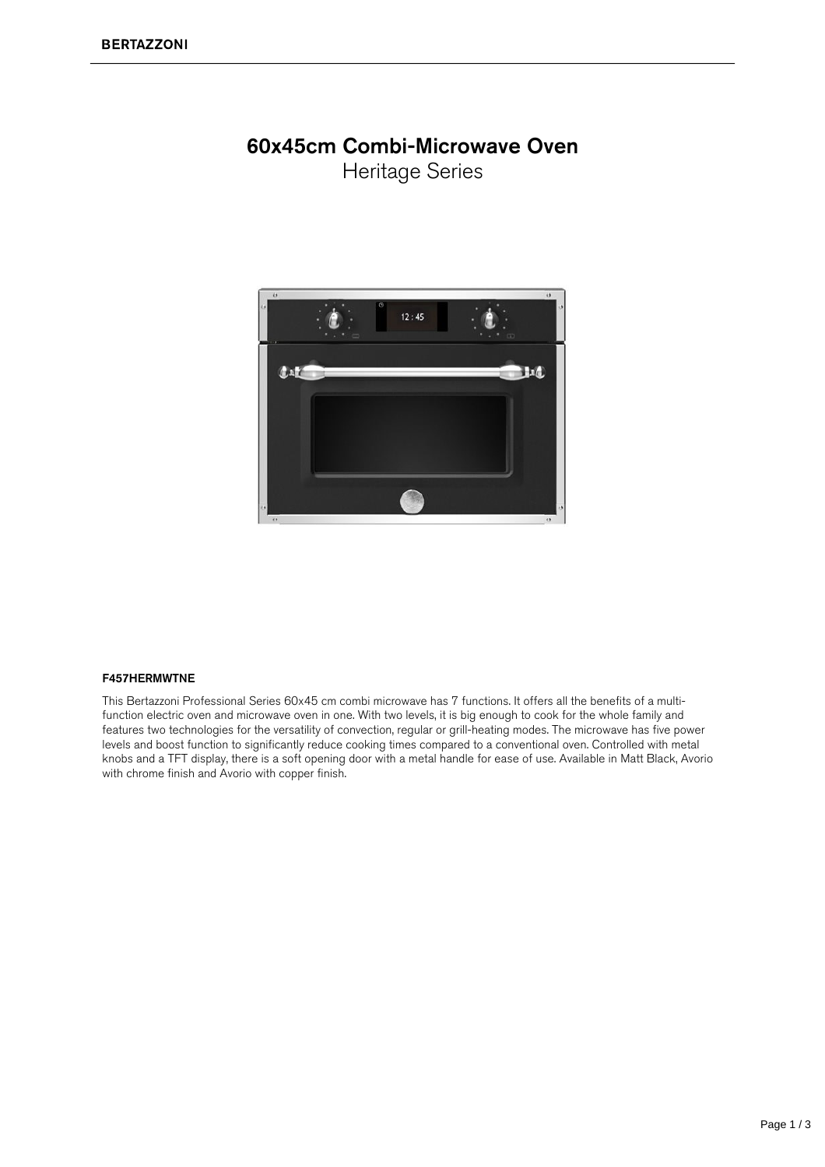## 60x45cm Combi-Microwave Oven

Heritage Series



## F457HERMWTNE

This Bertazzoni Professional Series 60x45 cm combi microwave has 7 functions. It offers all the benefits of a multifunction electric oven and microwave oven in one. With two levels, it is big enough to cook for the whole family and features two technologies for the versatility of convection, regular or grill-heating modes. The microwave has five power levels and boost function to significantly reduce cooking times compared to a conventional oven. Controlled with metal knobs and a TFT display, there is a soft opening door with a metal handle for ease of use. Available in Matt Black, Avorio with chrome finish and Avorio with copper finish.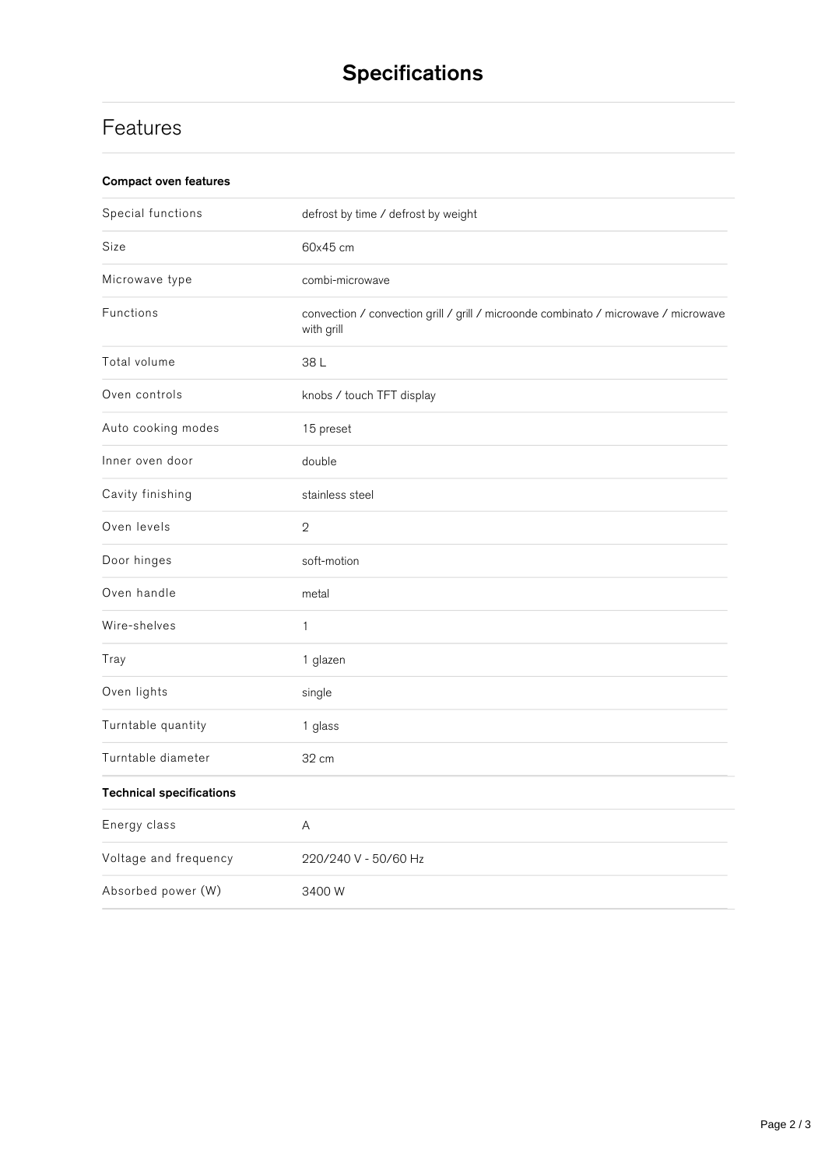## **Features**

| Special functions               | defrost by time / defrost by weight                                                               |
|---------------------------------|---------------------------------------------------------------------------------------------------|
| Size                            | 60x45 cm                                                                                          |
| Microwave type                  | combi-microwave                                                                                   |
| Functions                       | convection / convection grill / grill / microonde combinato / microwave / microwave<br>with grill |
| Total volume                    | 38L                                                                                               |
| Oven controls                   | knobs / touch TFT display                                                                         |
| Auto cooking modes              | 15 preset                                                                                         |
| Inner oven door                 | double                                                                                            |
| Cavity finishing                | stainless steel                                                                                   |
| Oven levels                     | $\overline{2}$                                                                                    |
| Door hinges                     | soft-motion                                                                                       |
| Oven handle                     | metal                                                                                             |
| Wire-shelves                    | $\mathbf{1}$                                                                                      |
| Tray                            | 1 glazen                                                                                          |
| Oven lights                     | single                                                                                            |
| Turntable quantity              | 1 glass                                                                                           |
| Turntable diameter              | 32 cm                                                                                             |
| <b>Technical specifications</b> |                                                                                                   |
| Energy class                    | Α                                                                                                 |
| Voltage and frequency           | 220/240 V - 50/60 Hz                                                                              |
| Absorbed power (W)              | 3400W                                                                                             |